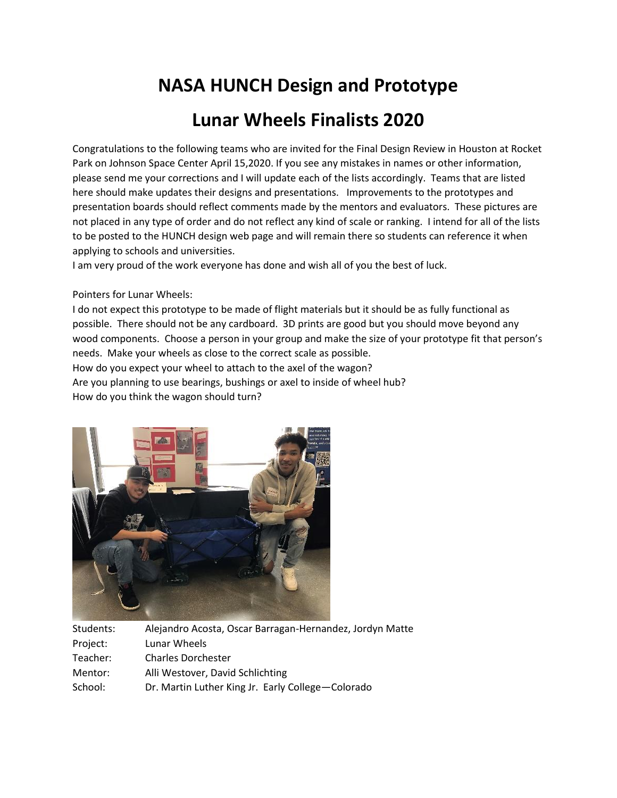## **NASA HUNCH Design and Prototype**

## **Lunar Wheels Finalists 2020**

Congratulations to the following teams who are invited for the Final Design Review in Houston at Rocket Park on Johnson Space Center April 15,2020. If you see any mistakes in names or other information, please send me your corrections and I will update each of the lists accordingly. Teams that are listed here should make updates their designs and presentations. Improvements to the prototypes and presentation boards should reflect comments made by the mentors and evaluators. These pictures are not placed in any type of order and do not reflect any kind of scale or ranking. I intend for all of the lists to be posted to the HUNCH design web page and will remain there so students can reference it when applying to schools and universities.

I am very proud of the work everyone has done and wish all of you the best of luck.

Pointers for Lunar Wheels:

I do not expect this prototype to be made of flight materials but it should be as fully functional as possible. There should not be any cardboard. 3D prints are good but you should move beyond any wood components. Choose a person in your group and make the size of your prototype fit that person's needs. Make your wheels as close to the correct scale as possible. How do you expect your wheel to attach to the axel of the wagon? Are you planning to use bearings, bushings or axel to inside of wheel hub?

How do you think the wagon should turn?



| Alejandro Acosta, Oscar Barragan-Hernandez, Jordyn Matte |
|----------------------------------------------------------|
| Lunar Wheels                                             |
| <b>Charles Dorchester</b>                                |
| Alli Westover, David Schlichting                         |
| Dr. Martin Luther King Jr. Early College-Colorado        |
|                                                          |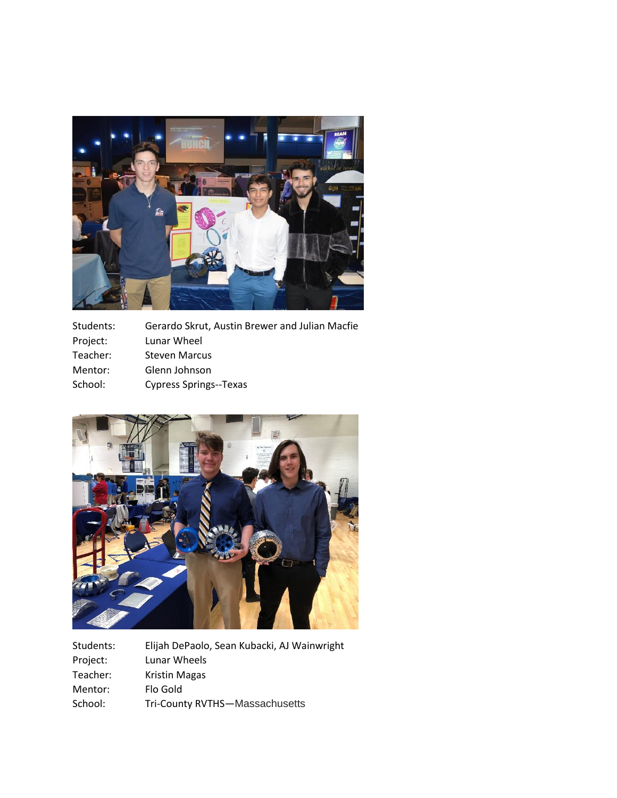

| Students: | Gerardo Skrut, Austin Brewer and Julian Macfie |
|-----------|------------------------------------------------|
| Project:  | Lunar Wheel                                    |
| Teacher:  | <b>Steven Marcus</b>                           |
| Mentor:   | Glenn Johnson                                  |
| School:   | <b>Cypress Springs--Texas</b>                  |
|           |                                                |



| Elijah DePaolo, Sean Kubacki, AJ Wainwright |
|---------------------------------------------|
| Lunar Wheels                                |
| <b>Kristin Magas</b>                        |
| Flo Gold                                    |
| Tri-County RVTHS-Massachusetts              |
|                                             |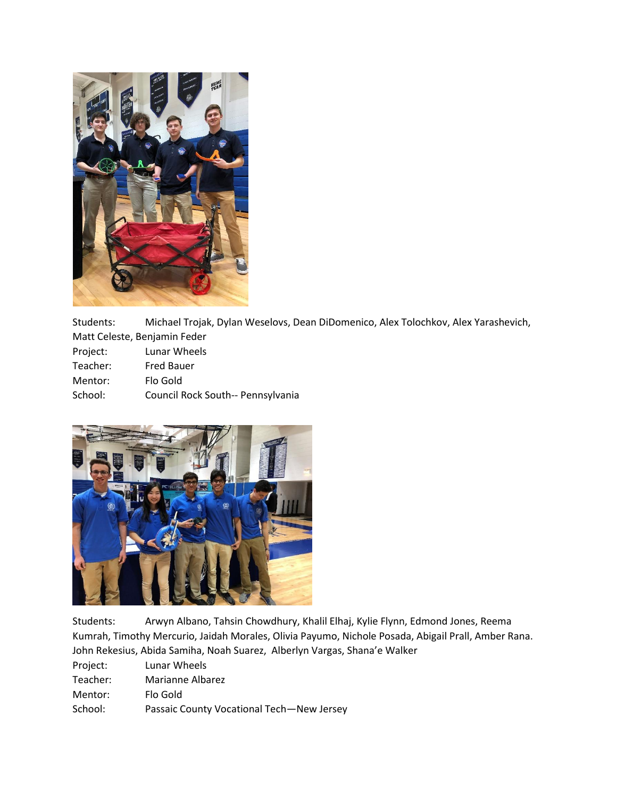

Students: Michael Trojak, Dylan Weselovs, Dean DiDomenico, Alex Tolochkov, Alex Yarashevich, Matt Celeste, Benjamin Feder

| Project: | Lunar Wheels                      |
|----------|-----------------------------------|
| Teacher: | <b>Fred Bauer</b>                 |
| Mentor:  | Flo Gold                          |
| School:  | Council Rock South-- Pennsylvania |



Students: Arwyn Albano, Tahsin Chowdhury, Khalil Elhaj, Kylie Flynn, Edmond Jones, Reema Kumrah, Timothy Mercurio, Jaidah Morales, Olivia Payumo, Nichole Posada, Abigail Prall, Amber Rana. John Rekesius, Abida Samiha, Noah Suarez, Alberlyn Vargas, Shana'e Walker

Project: Lunar Wheels

| Teacher: | Marianne Albarez |
|----------|------------------|
|          |                  |

Mentor: Flo Gold

School: Passaic County Vocational Tech—New Jersey